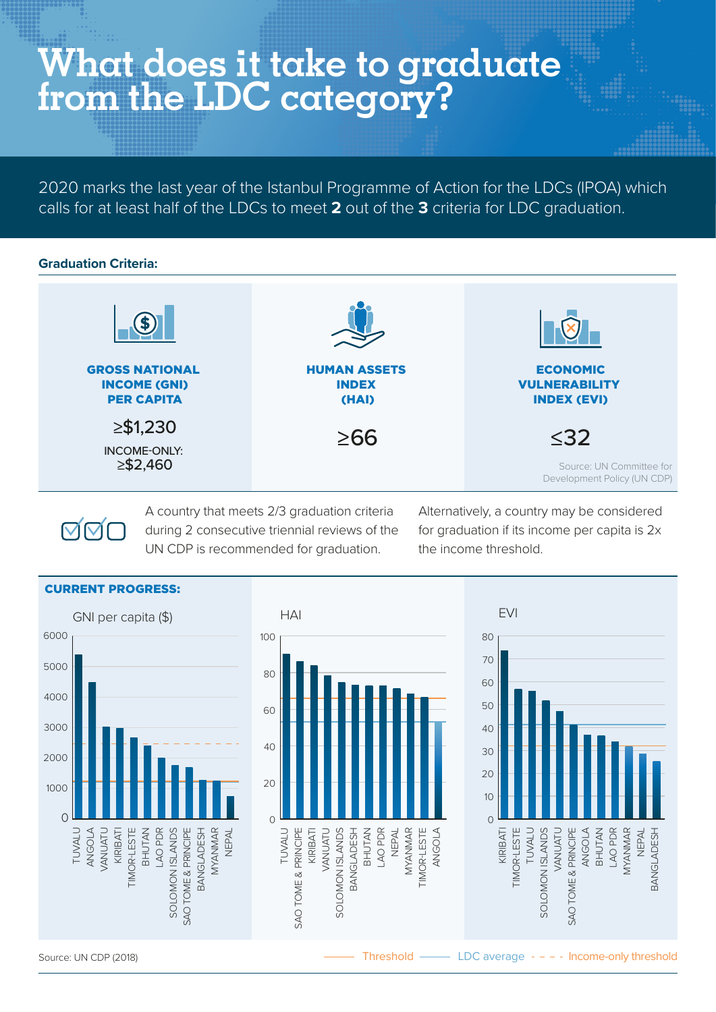# **What does it take to graduate from the LDC category?**

2020 marks the last year of the Istanbul Programme of Action for the LDCs (IPOA) which calls for at least half of the LDCs to meet **2** out of the **3** criteria for LDC graduation.

#### **Graduation Criteria:**



**NNL** 

A country that meets 2/3 graduation criteria during 2 consecutive triennial reviews of the UN CDP is recommended for graduation.

Alternatively, a country may be considered for graduation if its income per capita is 2x the income threshold.